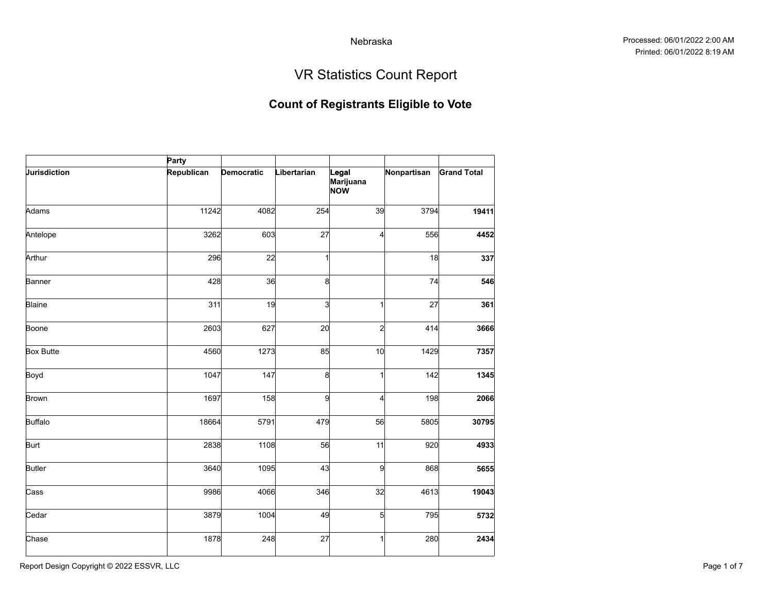# VR Statistics Count Report

| Party      |                                                                                                                                   |                                                                                                                          |                                                                                                       |                                                                                      |
|------------|-----------------------------------------------------------------------------------------------------------------------------------|--------------------------------------------------------------------------------------------------------------------------|-------------------------------------------------------------------------------------------------------|--------------------------------------------------------------------------------------|
| Republican |                                                                                                                                   | Legal<br>Marijuana<br><b>NOW</b>                                                                                         |                                                                                                       | <b>Grand Total</b>                                                                   |
|            |                                                                                                                                   |                                                                                                                          | 3794                                                                                                  | 19411                                                                                |
|            |                                                                                                                                   |                                                                                                                          | 556                                                                                                   | 4452                                                                                 |
|            |                                                                                                                                   |                                                                                                                          | 18                                                                                                    | 337                                                                                  |
|            |                                                                                                                                   |                                                                                                                          | 74                                                                                                    | 546                                                                                  |
|            |                                                                                                                                   |                                                                                                                          | 27                                                                                                    | 361                                                                                  |
|            |                                                                                                                                   |                                                                                                                          | 414                                                                                                   | 3666                                                                                 |
|            |                                                                                                                                   |                                                                                                                          | 1429                                                                                                  | 7357                                                                                 |
|            |                                                                                                                                   |                                                                                                                          | 142                                                                                                   | 1345                                                                                 |
|            |                                                                                                                                   |                                                                                                                          | 198                                                                                                   | 2066                                                                                 |
|            |                                                                                                                                   |                                                                                                                          | 5805                                                                                                  | 30795                                                                                |
|            |                                                                                                                                   |                                                                                                                          | 920                                                                                                   | 4933                                                                                 |
|            |                                                                                                                                   |                                                                                                                          | 868                                                                                                   | 5655                                                                                 |
|            |                                                                                                                                   |                                                                                                                          | 4613                                                                                                  | 19043                                                                                |
|            |                                                                                                                                   |                                                                                                                          | 795                                                                                                   | 5732                                                                                 |
|            |                                                                                                                                   |                                                                                                                          | 280                                                                                                   | 2434                                                                                 |
|            | Democratic<br>11242<br>3262<br>296<br>428<br>311<br>2603<br>4560<br>1047<br>1697<br>18664<br>2838<br>3640<br>9986<br>3879<br>1878 | Libertarian<br>4082<br>603<br>22<br>36<br>19<br>627<br>1273<br>147<br>158<br>5791<br>1108<br>1095<br>4066<br>1004<br>248 | 254<br>27<br>8<br>$\overline{\mathbf{3}}$<br>20<br>85<br>8<br>9<br>479<br>56<br>43<br>346<br>49<br>27 | Nonpartisan<br>39<br>4<br>2<br>10<br>4<br>56<br>11<br>9<br>32<br>$\overline{5}$<br>1 |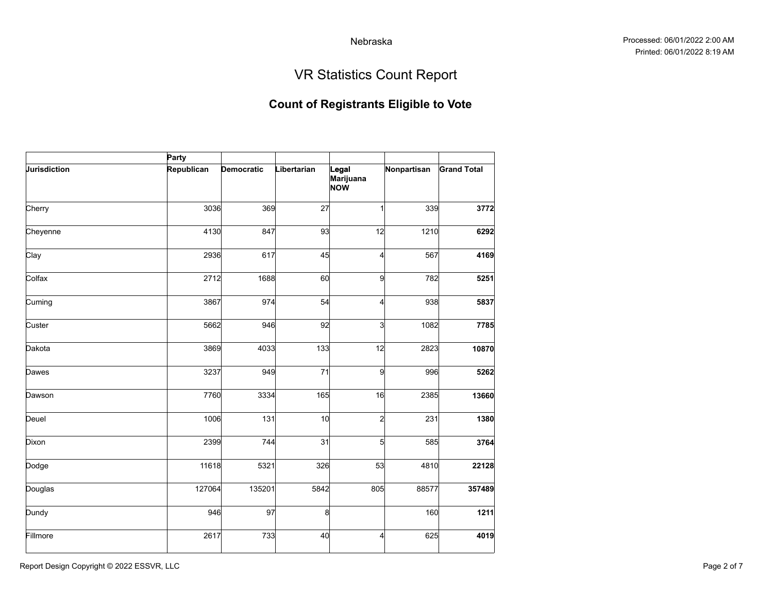# VR Statistics Count Report

|              | Party      |            |             |                           |             |                    |
|--------------|------------|------------|-------------|---------------------------|-------------|--------------------|
| Jurisdiction | Republican | Democratic | Libertarian | Legal<br>Marijuana<br>NOW | Nonpartisan | <b>Grand Total</b> |
| Cherry       | 3036       | 369        | 27          | 1                         | 339         | 3772               |
| Cheyenne     | 4130       | 847        | 93          | 12                        | 1210        | 6292               |
| Clay         | 2936       | 617        | 45          | 4                         | 567         | 4169               |
| Colfax       | 2712       | 1688       | 60          | 9                         | 782         | 5251               |
| Cuming       | 3867       | 974        | 54          | 4                         | 938         | 5837               |
| Custer       | 5662       | 946        | 92          | 3                         | 1082        | 7785               |
| Dakota       | 3869       | 4033       | 133         | 12                        | 2823        | 10870              |
| Dawes        | 3237       | 949        | 71          | 9                         | 996         | 5262               |
| Dawson       | 7760       | 3334       | 165         | 16                        | 2385        | 13660              |
| Deuel        | 1006       | 131        | 10          | $\mathbf{z}$              | 231         | 1380               |
| Dixon        | 2399       | 744        | 31          | 5                         | 585         | 3764               |
| Dodge        | 11618      | 5321       | 326         | 53                        | 4810        | 22128              |
| Douglas      | 127064     | 135201     | 5842        | 805                       | 88577       | 357489             |
| Dundy        | 946        | 97         | 8           |                           | 160         | 1211               |
| Fillmore     | 2617       | 733        | 40          | 4                         | 625         | 4019               |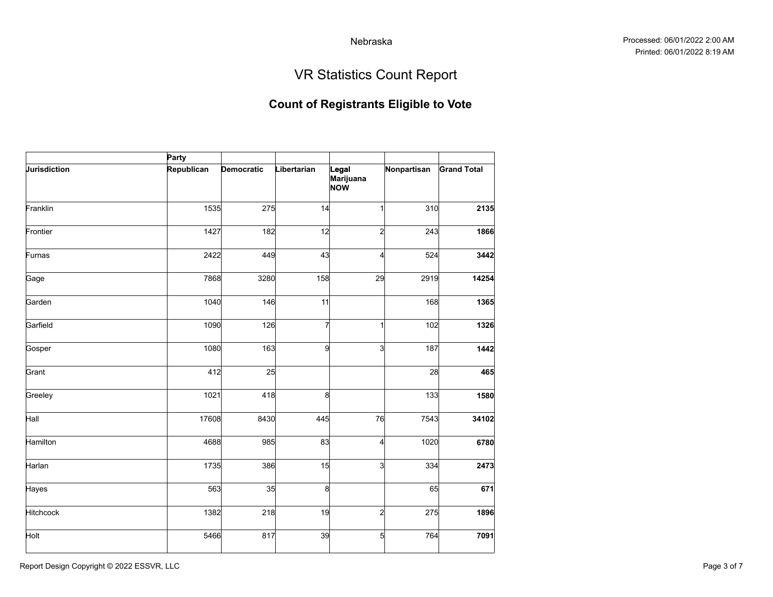# VR Statistics Count Report

|              | Party      |            |              |                                  |             |                    |
|--------------|------------|------------|--------------|----------------------------------|-------------|--------------------|
| Jurisdiction | Republican | Democratic | Libertarian  | Legal<br>Marijuana<br><b>NOW</b> | Nonpartisan | <b>Grand Total</b> |
| Franklin     | 1535       | 275        | 14           |                                  | 310         | 2135               |
| Frontier     | 1427       | 182        | 12           | 2                                | 243         | 1866               |
| Furnas       | 2422       | 449        | 43           | 4                                | 524         | 3442               |
| Gage         | 7868       | 3280       | 158          | 29                               | 2919        | 14254              |
| Garden       | 1040       | 146        | 11           |                                  | 168         | 1365               |
| Garfield     | 1090       | 126        | 7            | 1                                | 102         | 1326               |
| Gosper       | 1080       | 163        | $\mathbf{q}$ | $\mathbf{3}$                     | 187         | 1442               |
| Grant        | 412        | 25         |              |                                  | 28          | 465                |
| Greeley      | 1021       | 418        | 8            |                                  | 133         | 1580               |
| Hall         | 17608      | 8430       | 445          | 76                               | 7543        | 34102              |
| Hamilton     | 4688       | 985        | 83           | 4                                | 1020        | 6780               |
| Harlan       | 1735       | 386        | 15           | 3                                | 334         | 2473               |
| Hayes        | 563        | 35         | 8            |                                  | 65          | 671                |
| Hitchcock    | 1382       | 218        | 19           | $\mathbf{z}$                     | 275         | 1896               |
| Holt         | 5466       | 817        | 39           | $\mathbf{5}$                     | 764         | 7091               |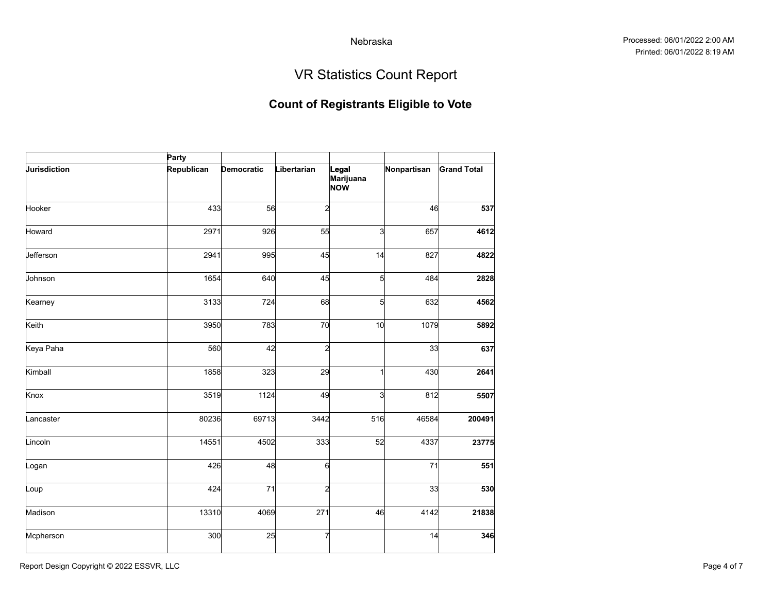# VR Statistics Count Report

|              | Party      |            |             |                                  |             |                    |
|--------------|------------|------------|-------------|----------------------------------|-------------|--------------------|
| Jurisdiction | Republican | Democratic | Libertarian | Legal<br>Marijuana<br><b>NOW</b> | Nonpartisan | <b>Grand Total</b> |
| Hooker       | 433        | 56         | 2           |                                  | 46          | 537                |
| Howard       | 2971       | 926        | 55          | $\overline{3}$                   | 657         | 4612               |
| Jefferson    | 2941       | 995        | 45          | 14                               | 827         | 4822               |
| Johnson      | 1654       | 640        | 45          | $5 \vert$                        | 484         | 2828               |
| Kearney      | 3133       | 724        | 68          | $\mathbf{5}$                     | 632         | 4562               |
| Keith        | 3950       | 783        | 70          | 10                               | 1079        | 5892               |
| Keya Paha    | 560        | 42         | 2           |                                  | 33          | 637                |
| Kimball      | 1858       | 323        | 29          | 1                                | 430         | 2641               |
| Knox         | 3519       | 1124       | 49          | 3                                | 812         | 5507               |
| Lancaster    | 80236      | 69713      | 3442        | 516                              | 46584       | 200491             |
| Lincoln      | 14551      | 4502       | 333         | 52                               | 4337        | 23775              |
| Logan        | 426        | 48         | 6           |                                  | 71          | 551                |
| Loup         | 424        | 71         | 2           |                                  | 33          | 530                |
| Madison      | 13310      | 4069       | 271         | 46                               | 4142        | 21838              |
| Mcpherson    | 300        | 25         |             |                                  | 14          | 346                |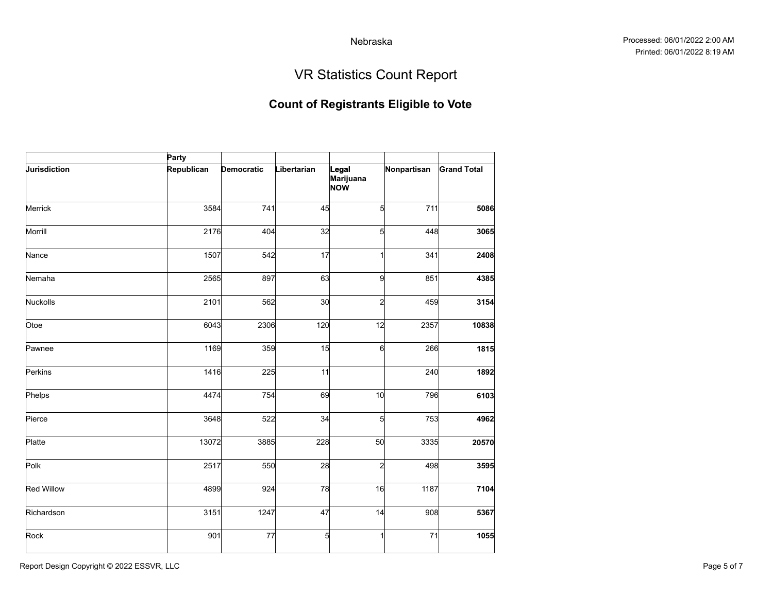# VR Statistics Count Report

|                   | Party      |            |                |                           |             |                    |
|-------------------|------------|------------|----------------|---------------------------|-------------|--------------------|
| Jurisdiction      | Republican | Democratic | Libertarian    | Legal<br>Marijuana<br>NOW | Nonpartisan | <b>Grand Total</b> |
| Merrick           | 3584       | 741        | 45             | 5                         | 711         | 5086               |
| Morrill           | 2176       | 404        | 32             | 5                         | 448         | 3065               |
| Nance             | 1507       | 542        | 17             | 1                         | 341         | 2408               |
| Nemaha            | 2565       | 897        | 63             | 9                         | 851         | 4385               |
| Nuckolls          | 2101       | 562        | 30             | $\mathbf{z}$              | 459         | 3154               |
| Otoe              | 6043       | 2306       | 120            | 12                        | 2357        | 10838              |
| Pawnee            | 1169       | 359        | 15             | 6                         | 266         | 1815               |
| Perkins           | 1416       | 225        | 11             |                           | 240         | 1892               |
| Phelps            | 4474       | 754        | 69             | 10                        | 796         | 6103               |
| Pierce            | 3648       | 522        | 34             | $\mathbf{5}$              | 753         | 4962               |
| Platte            | 13072      | 3885       | 228            | 50                        | 3335        | 20570              |
| Polk              | 2517       | 550        | 28             | $\mathbf{z}$              | 498         | 3595               |
| <b>Red Willow</b> | 4899       | 924        | 78             | 16                        | 1187        | 7104               |
| Richardson        | 3151       | 1247       | 47             | 14                        | 908         | 5367               |
| Rock              | 901        | 77         | $\overline{5}$ |                           | 71          | 1055               |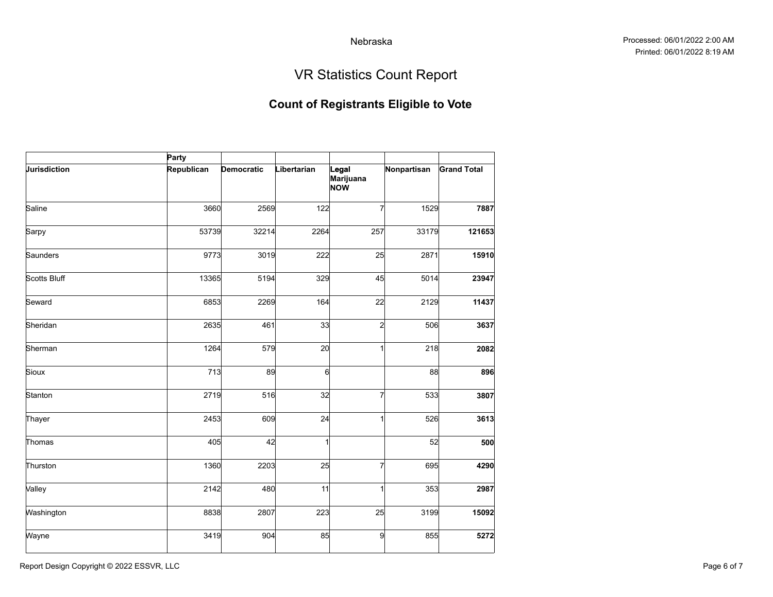# VR Statistics Count Report

|              | Party      |            |             |                           |             |                    |
|--------------|------------|------------|-------------|---------------------------|-------------|--------------------|
| Jurisdiction | Republican | Democratic | Libertarian | Legal<br>Marijuana<br>NOW | Nonpartisan | <b>Grand Total</b> |
| Saline       | 3660       | 2569       | 122         | 7                         | 1529        | 7887               |
| Sarpy        | 53739      | 32214      | 2264        | 257                       | 33179       | 121653             |
| Saunders     | 9773       | 3019       | 222         | 25                        | 2871        | 15910              |
| Scotts Bluff | 13365      | 5194       | 329         | 45                        | 5014        | 23947              |
| Seward       | 6853       | 2269       | 164         | 22                        | 2129        | 11437              |
| Sheridan     | 2635       | 461        | 33          | $\mathbf{z}$              | 506         | 3637               |
| Sherman      | 1264       | 579        | 20          | 1                         | 218         | 2082               |
| Sioux        | 713        | 89         | $6 \times$  |                           | 88          | 896                |
| Stanton      | 2719       | 516        | 32          | 7                         | 533         | 3807               |
| Thayer       | 2453       | 609        | 24          | $\mathbf{1}$              | 526         | 3613               |
| Thomas       | 405        | 42         | 1           |                           | 52          | 500                |
| Thurston     | 1360       | 2203       | 25          | 7                         | 695         | 4290               |
| Valley       | 2142       | 480        | 11          |                           | 353         | 2987               |
| Washington   | 8838       | 2807       | 223         | 25                        | 3199        | 15092              |
| Wayne        | 3419       | 904        | 85          | 9                         | 855         | 5272               |